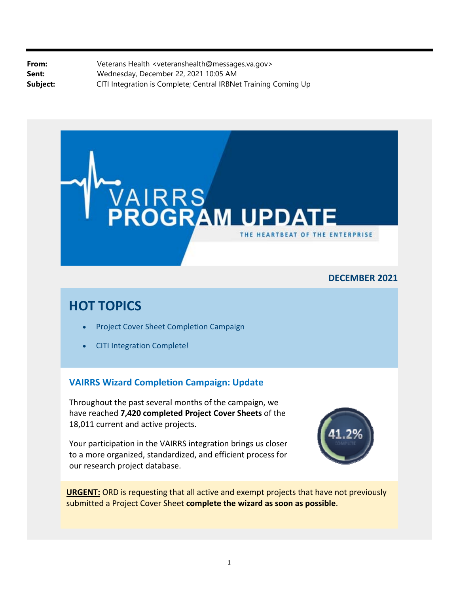**From:** Veterans Health <[veteranshealth@messages.va.gov](mailto:veteranshealth@messages.va.gov)> **Sent:** Wednesday, December 22, 2021 10:05 AM **Subject:** CITI Integration is Complete; Central IRBNet Training Coming Up



### **DECEMBER 2021**

# **HOT TOPICS**

- Project Cover Sheet Completion Campaign
- CITI Integration Complete!

### **VAIRRS Wizard Completion Campaign: Update**

Throughout the past several months of the campaign, we have reached **7,420 completed Project Cover Sheets** of the 18,011 current and active projects.

Your participation in the VAIRRS integration brings us closer to a more organized, standardized, and efficient process for our research project database.



**URGENT:** ORD is requesting that all active and exempt projects that have not previously submitted a Project Cover Sheet **complete the wizard as soon as possible**.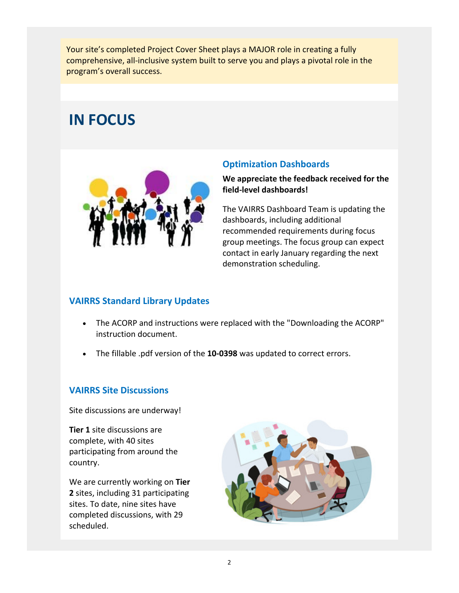Your site's completed Project Cover Sheet plays a MAJOR role in creating a fully comprehensive, all‐inclusive system built to serve you and plays a pivotal role in the program's overall success.

# **IN FOCUS**



## **Optimization Dashboards**

**We appreciate the feedback received for the field‐level dashboards!**

The VAIRRS Dashboard Team is updating the dashboards, including additional recommended requirements during focus group meetings. The focus group can expect contact in early January regarding the next demonstration scheduling.

# **VAIRRS Standard Library Updates**

- The ACORP and instructions were replaced with the "Downloading the ACORP" instruction document.
- The fillable .pdf version of the **10‐0398** was updated to correct errors.

# **VAIRRS Site Discussions**

Site discussions are underway!

**Tier 1** site discussions are complete, with 40 sites participating from around the country.

We are currently working on **Tier 2** sites, including 31 participating sites. To date, nine sites have completed discussions, with 29 scheduled.

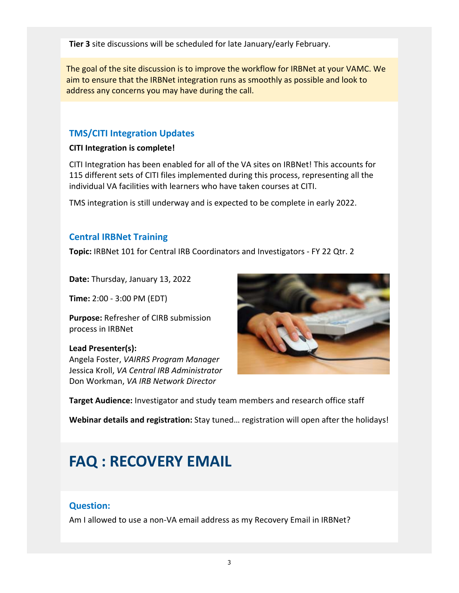**Tier 3** site discussions will be scheduled for late January/early February.

The goal of the site discussion is to improve the workflow for IRBNet at your VAMC. We aim to ensure that the IRBNet integration runs as smoothly as possible and look to address any concerns you may have during the call.

## **TMS/CITI Integration Updates**

#### **CITI Integration is complete!**

CITI Integration has been enabled for all of the VA sites on IRBNet! This accounts for 115 different sets of CITI files implemented during this process, representing all the individual VA facilities with learners who have taken courses at CITI.

TMS integration is still underway and is expected to be complete in early 2022.

### **Central IRBNet Training**

**Topic:** IRBNet 101 for Central IRB Coordinators and Investigators ‐ FY 22 Qtr. 2

**Date:** Thursday, January 13, 2022

**Time:** 2:00 ‐ 3:00 PM (EDT)

**Purpose:** Refresher of CIRB submission process in IRBNet

#### **Lead Presenter(s):**

 Angela Foster, *VAIRRS Program Manager* Jessica Kroll, *VA Central IRB Administrator* Don Workman, *VA IRB Network Director*



**Target Audience:** Investigator and study team members and research office staff

**Webinar details and registration:** Stay tuned… registration will open after the holidays!

# **FAQ : RECOVERY EMAIL**

### **Question:**

Am I allowed to use a non‐VA email address as my Recovery Email in IRBNet?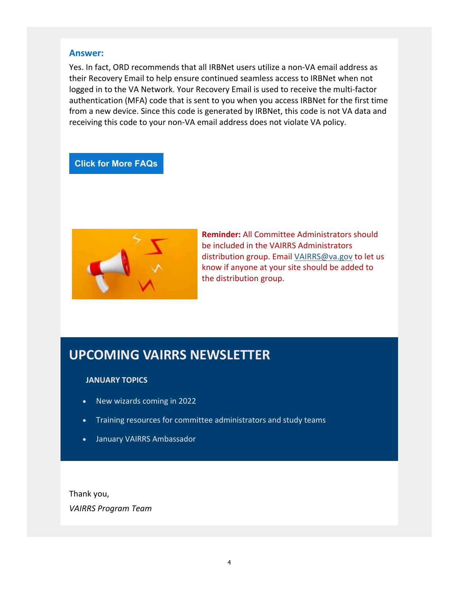#### **Answer:**

Yes. In fact, ORD recommends that all IRBNet users utilize a non‐VA email address as their Recovery Email to help ensure continued seamless access to IRBNet when not logged in to the VA Network. Your Recovery Email is used to receive the multi‐factor authentication (MFA) code that is sent to you when you access IRBNet for the first time from a new device. Since this code is generated by IRBNet, this code is not VA data and receiving this code to your non‐VA email address does not violate VA policy.

#### **Click for More FAQs**



**Reminder:** All Committee Administrators should be included in the VAIRRS Administrators distribution group. Email [VAIRRS@va.gov](mailto:VAIRRS@va.gov) to let us know if anyone at your site should be added to the distribution group.

# **UPCOMING VAIRRS NEWSLETTER**

#### **JANUARY TOPICS**

- New wizards coming in 2022
- Training resources for committee administrators and study teams
- January VAIRRS Ambassador

Thank you, *VAIRRS Program Team*